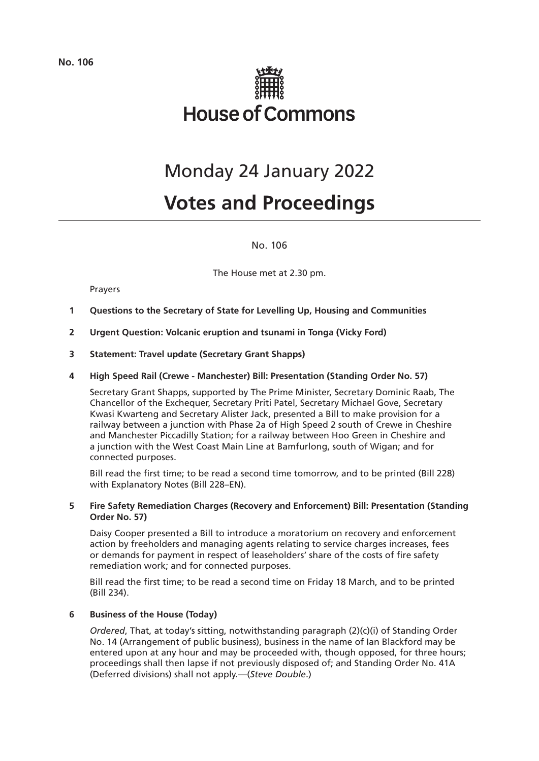

# Monday 24 January 2022

# **Votes and Proceedings**

No. 106

The House met at 2.30 pm.

# Prayers

- **1 Questions to the Secretary of State for Levelling Up, Housing and Communities**
- **2 Urgent Question: Volcanic eruption and tsunami in Tonga (Vicky Ford)**
- **3 Statement: Travel update (Secretary Grant Shapps)**

# **4 High Speed Rail (Crewe - Manchester) Bill: Presentation (Standing Order No. 57)**

Secretary Grant Shapps, supported by The Prime Minister, Secretary Dominic Raab, The Chancellor of the Exchequer, Secretary Priti Patel, Secretary Michael Gove, Secretary Kwasi Kwarteng and Secretary Alister Jack, presented a Bill to make provision for a railway between a junction with Phase 2a of High Speed 2 south of Crewe in Cheshire and Manchester Piccadilly Station; for a railway between Hoo Green in Cheshire and a junction with the West Coast Main Line at Bamfurlong, south of Wigan; and for connected purposes.

Bill read the first time; to be read a second time tomorrow, and to be printed (Bill 228) with Explanatory Notes (Bill 228–EN).

# **5 Fire Safety Remediation Charges (Recovery and Enforcement) Bill: Presentation (Standing Order No. 57)**

Daisy Cooper presented a Bill to introduce a moratorium on recovery and enforcement action by freeholders and managing agents relating to service charges increases, fees or demands for payment in respect of leaseholders' share of the costs of fire safety remediation work; and for connected purposes.

Bill read the first time; to be read a second time on Friday 18 March, and to be printed (Bill 234).

# **6 Business of the House (Today)**

*Ordered*, That, at today's sitting, notwithstanding paragraph (2)(c)(i) of Standing Order No. 14 (Arrangement of public business), business in the name of Ian Blackford may be entered upon at any hour and may be proceeded with, though opposed, for three hours; proceedings shall then lapse if not previously disposed of; and Standing Order No. 41A (Deferred divisions) shall not apply.—(*Steve Double*.)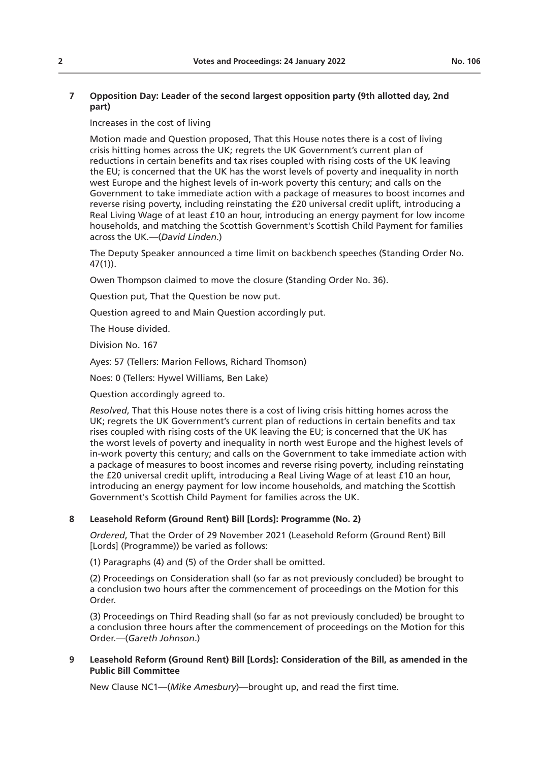Increases in the cost of living

Motion made and Question proposed, That this House notes there is a cost of living crisis hitting homes across the UK; regrets the UK Government's current plan of reductions in certain benefits and tax rises coupled with rising costs of the UK leaving the EU; is concerned that the UK has the worst levels of poverty and inequality in north west Europe and the highest levels of in-work poverty this century; and calls on the Government to take immediate action with a package of measures to boost incomes and reverse rising poverty, including reinstating the £20 universal credit uplift, introducing a Real Living Wage of at least £10 an hour, introducing an energy payment for low income households, and matching the Scottish Government's Scottish Child Payment for families across the UK.—(*David Linden*.)

The Deputy Speaker announced a time limit on backbench speeches (Standing Order No. 47(1)).

Owen Thompson claimed to move the closure (Standing Order No. 36).

Question put, That the Question be now put.

Question agreed to and Main Question accordingly put.

The House divided.

Division No. 167

Ayes: 57 (Tellers: Marion Fellows, Richard Thomson)

Noes: 0 (Tellers: Hywel Williams, Ben Lake)

Question accordingly agreed to.

*Resolved*, That this House notes there is a cost of living crisis hitting homes across the UK; regrets the UK Government's current plan of reductions in certain benefits and tax rises coupled with rising costs of the UK leaving the EU; is concerned that the UK has the worst levels of poverty and inequality in north west Europe and the highest levels of in-work poverty this century; and calls on the Government to take immediate action with a package of measures to boost incomes and reverse rising poverty, including reinstating the £20 universal credit uplift, introducing a Real Living Wage of at least £10 an hour, introducing an energy payment for low income households, and matching the Scottish Government's Scottish Child Payment for families across the UK.

# **8 Leasehold Reform (Ground Rent) Bill [Lords]: Programme (No. 2)**

*Ordered*, That the Order of 29 November 2021 (Leasehold Reform (Ground Rent) Bill [Lords] (Programme)) be varied as follows:

(1) Paragraphs (4) and (5) of the Order shall be omitted.

(2) Proceedings on Consideration shall (so far as not previously concluded) be brought to a conclusion two hours after the commencement of proceedings on the Motion for this Order.

(3) Proceedings on Third Reading shall (so far as not previously concluded) be brought to a conclusion three hours after the commencement of proceedings on the Motion for this Order.—(*Gareth Johnson*.)

# **9 Leasehold Reform (Ground Rent) Bill [Lords]: Consideration of the Bill, as amended in the Public Bill Committee**

New Clause NC1—(*Mike Amesbury*)—brought up, and read the first time.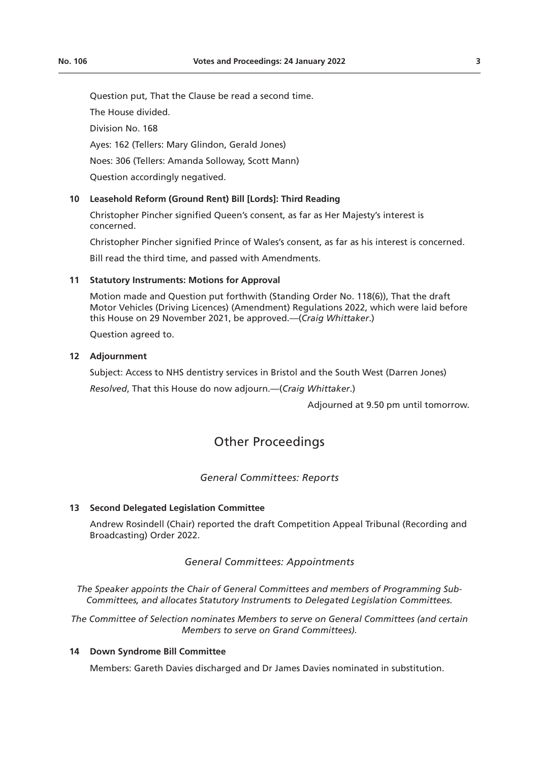Question put, That the Clause be read a second time.

The House divided.

Division No. 168

Ayes: 162 (Tellers: Mary Glindon, Gerald Jones)

Noes: 306 (Tellers: Amanda Solloway, Scott Mann)

Question accordingly negatived.

# **10 Leasehold Reform (Ground Rent) Bill [Lords]: Third Reading**

Christopher Pincher signified Queen's consent, as far as Her Majesty's interest is concerned.

Christopher Pincher signified Prince of Wales's consent, as far as his interest is concerned.

Bill read the third time, and passed with Amendments.

# **11 Statutory Instruments: Motions for Approval**

Motion made and Question put forthwith (Standing Order No. 118(6)), That the draft Motor Vehicles (Driving Licences) (Amendment) Regulations 2022, which were laid before this House on 29 November 2021, be approved.—(*Craig Whittaker*.)

Question agreed to.

#### **12 Adjournment**

Subject: Access to NHS dentistry services in Bristol and the South West (Darren Jones) *Resolved*, That this House do now adjourn.—(*Craig Whittaker*.)

Adjourned at 9.50 pm until tomorrow.

# Other Proceedings

# *General Committees: Reports*

#### **13 Second Delegated Legislation Committee**

Andrew Rosindell (Chair) reported the draft Competition Appeal Tribunal (Recording and Broadcasting) Order 2022.

# *General Committees: Appointments*

*The Speaker appoints the Chair of General Committees and members of Programming Sub-Committees, and allocates Statutory Instruments to Delegated Legislation Committees.*

*The Committee of Selection nominates Members to serve on General Committees (and certain Members to serve on Grand Committees).*

# **14 Down Syndrome Bill Committee**

Members: Gareth Davies discharged and Dr James Davies nominated in substitution.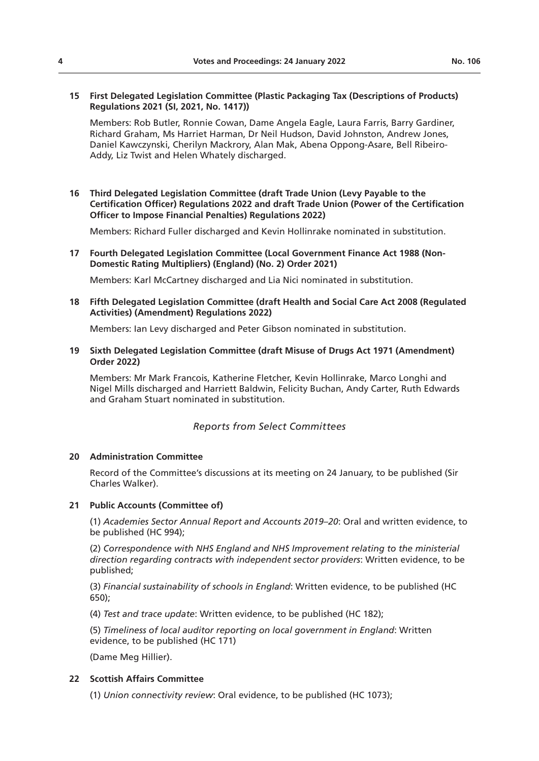#### **15 First Delegated Legislation Committee (Plastic Packaging Tax (Descriptions of Products) Regulations 2021 (SI, 2021, No. 1417))**

Members: Rob Butler, Ronnie Cowan, Dame Angela Eagle, Laura Farris, Barry Gardiner, Richard Graham, Ms Harriet Harman, Dr Neil Hudson, David Johnston, Andrew Jones, Daniel Kawczynski, Cherilyn Mackrory, Alan Mak, Abena Oppong-Asare, Bell Ribeiro-Addy, Liz Twist and Helen Whately discharged.

# **16 Third Delegated Legislation Committee (draft Trade Union (Levy Payable to the Certification Officer) Regulations 2022 and draft Trade Union (Power of the Certification Officer to Impose Financial Penalties) Regulations 2022)**

Members: Richard Fuller discharged and Kevin Hollinrake nominated in substitution.

**17 Fourth Delegated Legislation Committee (Local Government Finance Act 1988 (Non-Domestic Rating Multipliers) (England) (No. 2) Order 2021)**

Members: Karl McCartney discharged and Lia Nici nominated in substitution.

### **18 Fifth Delegated Legislation Committee (draft Health and Social Care Act 2008 (Regulated Activities) (Amendment) Regulations 2022)**

Members: Ian Levy discharged and Peter Gibson nominated in substitution.

**19 Sixth Delegated Legislation Committee (draft Misuse of Drugs Act 1971 (Amendment) Order 2022)**

Members: Mr Mark Francois, Katherine Fletcher, Kevin Hollinrake, Marco Longhi and Nigel Mills discharged and Harriett Baldwin, Felicity Buchan, Andy Carter, Ruth Edwards and Graham Stuart nominated in substitution.

*Reports from Select Committees*

#### **20 Administration Committee**

Record of the Committee's discussions at its meeting on 24 January, to be published (Sir Charles Walker).

#### **21 Public Accounts (Committee of)**

(1) *Academies Sector Annual Report and Accounts 2019–20*: Oral and written evidence, to be published (HC 994);

(2) *Correspondence with NHS England and NHS Improvement relating to the ministerial direction regarding contracts with independent sector providers*: Written evidence, to be published;

(3) *Financial sustainability of schools in England*: Written evidence, to be published (HC 650);

(4) *Test and trace update*: Written evidence, to be published (HC 182);

(5) *Timeliness of local auditor reporting on local government in England*: Written evidence, to be published (HC 171)

(Dame Meg Hillier).

# **22 Scottish Affairs Committee**

(1) *Union connectivity review*: Oral evidence, to be published (HC 1073);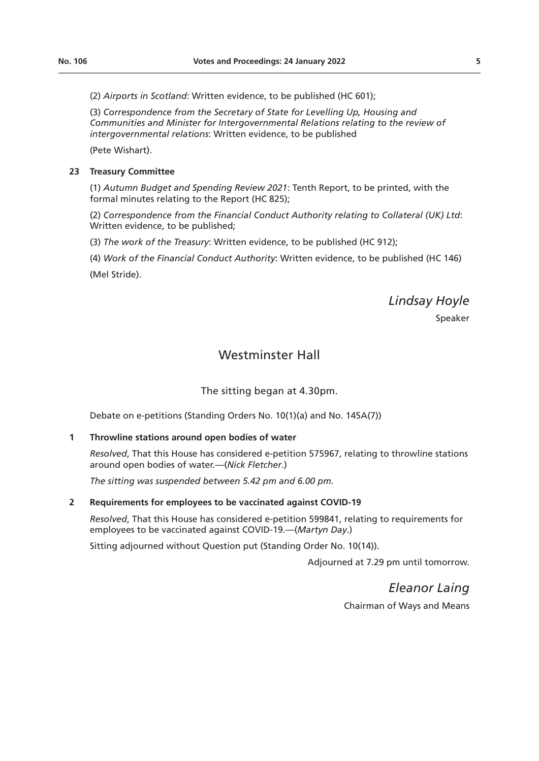(2) *Airports in Scotland*: Written evidence, to be published (HC 601);

(3) *Correspondence from the Secretary of State for Levelling Up, Housing and Communities and Minister for Intergovernmental Relations relating to the review of intergovernmental relations*: Written evidence, to be published

(Pete Wishart).

## **23 Treasury Committee**

(1) *Autumn Budget and Spending Review 2021*: Tenth Report, to be printed, with the formal minutes relating to the Report (HC 825);

(2) *Correspondence from the Financial Conduct Authority relating to Collateral (UK) Ltd*: Written evidence, to be published;

(3) *The work of the Treasury*: Written evidence, to be published (HC 912);

(4) *Work of the Financial Conduct Authority*: Written evidence, to be published (HC 146) (Mel Stride).

*Lindsay Hoyle*

Speaker

# Westminster Hall

The sitting began at 4.30pm.

Debate on e-petitions (Standing Orders No. 10(1)(a) and No. 145A(7))

#### **1 Throwline stations around open bodies of water**

*Resolved*, That this House has considered e-petition 575967, relating to throwline stations around open bodies of water.—(*Nick Fletcher*.)

*The sitting was suspended between 5.42 pm and 6.00 pm.*

#### **2 Requirements for employees to be vaccinated against COVID-19**

*Resolved*, That this House has considered e-petition 599841, relating to requirements for employees to be vaccinated against COVID-19.—(*Martyn Day*.)

Sitting adjourned without Question put (Standing Order No. 10(14)).

Adjourned at 7.29 pm until tomorrow.

*Eleanor Laing* Chairman of Ways and Means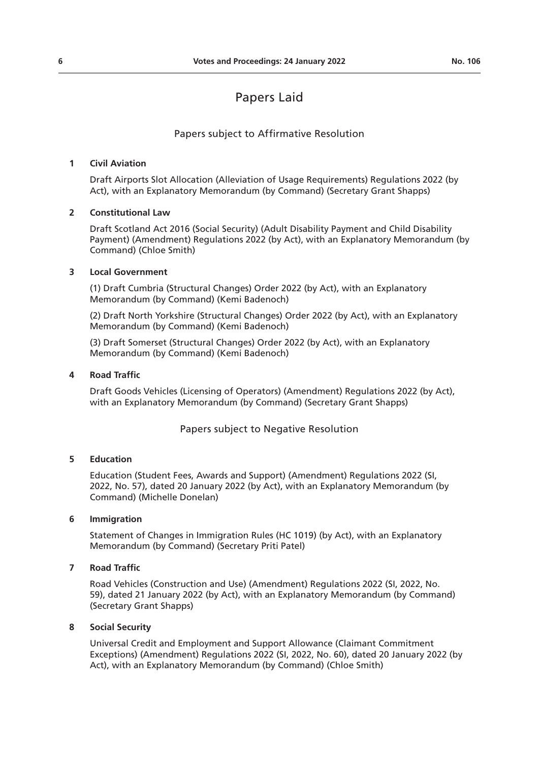# Papers Laid

## Papers subject to Affirmative Resolution

# **1 Civil Aviation**

Draft Airports Slot Allocation (Alleviation of Usage Requirements) Regulations 2022 (by Act), with an Explanatory Memorandum (by Command) (Secretary Grant Shapps)

#### **2 Constitutional Law**

Draft Scotland Act 2016 (Social Security) (Adult Disability Payment and Child Disability Payment) (Amendment) Regulations 2022 (by Act), with an Explanatory Memorandum (by Command) (Chloe Smith)

# **3 Local Government**

(1) Draft Cumbria (Structural Changes) Order 2022 (by Act), with an Explanatory Memorandum (by Command) (Kemi Badenoch)

(2) Draft North Yorkshire (Structural Changes) Order 2022 (by Act), with an Explanatory Memorandum (by Command) (Kemi Badenoch)

(3) Draft Somerset (Structural Changes) Order 2022 (by Act), with an Explanatory Memorandum (by Command) (Kemi Badenoch)

### **4 Road Traffic**

Draft Goods Vehicles (Licensing of Operators) (Amendment) Regulations 2022 (by Act), with an Explanatory Memorandum (by Command) (Secretary Grant Shapps)

Papers subject to Negative Resolution

#### **5 Education**

Education (Student Fees, Awards and Support) (Amendment) Regulations 2022 (SI, 2022, No. 57), dated 20 January 2022 (by Act), with an Explanatory Memorandum (by Command) (Michelle Donelan)

#### **6 Immigration**

Statement of Changes in Immigration Rules (HC 1019) (by Act), with an Explanatory Memorandum (by Command) (Secretary Priti Patel)

#### **7 Road Traffic**

Road Vehicles (Construction and Use) (Amendment) Regulations 2022 (SI, 2022, No. 59), dated 21 January 2022 (by Act), with an Explanatory Memorandum (by Command) (Secretary Grant Shapps)

#### **8 Social Security**

Universal Credit and Employment and Support Allowance (Claimant Commitment Exceptions) (Amendment) Regulations 2022 (SI, 2022, No. 60), dated 20 January 2022 (by Act), with an Explanatory Memorandum (by Command) (Chloe Smith)